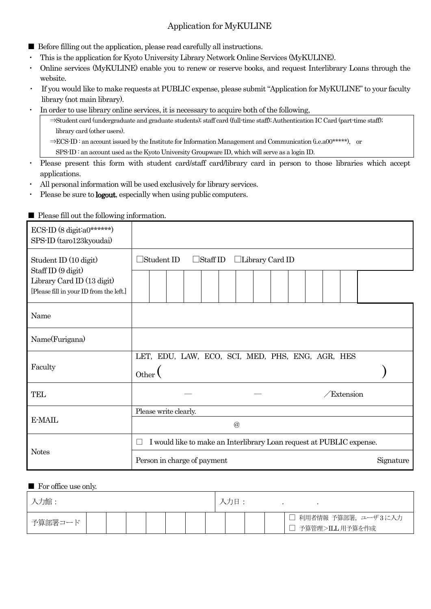## Application for MyKULINE

- Before filling out the application, please read carefully all instructions.
- ・ This is the application for Kyoto University Library Network Online Services (MyKULINE).
- ・ Online services (MyKULINE) enable you to renew or reserve books, and request Interlibrary Loans through the website.
- If you would like to make requests at PUBLIC expense, please submit "Application for MyKULINE" to your faculty library (not main library).
- ・ In order to use library online services, it is necessary to acquire both of the following,
	- ⇒Student card (undergraduate and graduate students); staff card (full-time staff); Authentication IC Card (part-time staff); library card (other users).

⇒ECS-ID : an account issued by the Institute for Information Management and Communication (i.e.a00\*\*\*\*\*), or

SPS-ID : an account used as the Kyoto University Groupware ID, which will serve as a login ID.

- ・ Please present this form with student card/staff card/library card in person to those libraries which accept applications.
- ・ All personal information will be used exclusively for library services.
- ・ Please be sure to logout, especially when using public computers.

| ECS-ID $(8 \text{ digit:}a0*****)$<br>SPS-ID (taro123kyoudai)         |                                                                           |           |  |  |  |  |  |  |  |  |  |
|-----------------------------------------------------------------------|---------------------------------------------------------------------------|-----------|--|--|--|--|--|--|--|--|--|
| Student ID (10 digit)<br>Staff ID (9 digit)                           | $\Box$ Student ID<br>$\Box$ Staff ID<br>$\Box$ Library Card ID            |           |  |  |  |  |  |  |  |  |  |
| Library Card ID (13 digit)<br>[Please fill in your ID from the left.] |                                                                           |           |  |  |  |  |  |  |  |  |  |
| Name                                                                  |                                                                           |           |  |  |  |  |  |  |  |  |  |
| Name(Furigana)                                                        |                                                                           |           |  |  |  |  |  |  |  |  |  |
| Faculty                                                               | LET, EDU, LAW, ECO, SCI, MED, PHS, ENG, AGR, HES<br>Other                 |           |  |  |  |  |  |  |  |  |  |
| <b>TEL</b>                                                            | Extension                                                                 |           |  |  |  |  |  |  |  |  |  |
|                                                                       | Please write clearly.                                                     |           |  |  |  |  |  |  |  |  |  |
| E-MAIL                                                                | $\circleda$                                                               |           |  |  |  |  |  |  |  |  |  |
|                                                                       | I would like to make an Interlibrary Loan request at PUBLIC expense.<br>П |           |  |  |  |  |  |  |  |  |  |
| <b>Notes</b>                                                          | Person in charge of payment                                               | Signature |  |  |  |  |  |  |  |  |  |

#### ■ Please fill out the following information.

### ■ For office use only.

| ✓力館     |  |  |  |  |  |  | 入力日 |  |  |                                        |  |
|---------|--|--|--|--|--|--|-----|--|--|----------------------------------------|--|
| 予算部署コード |  |  |  |  |  |  |     |  |  | 利用者情報 予算部署, ユーザ3に入力<br>予算管理>ILL 用予算を作成 |  |